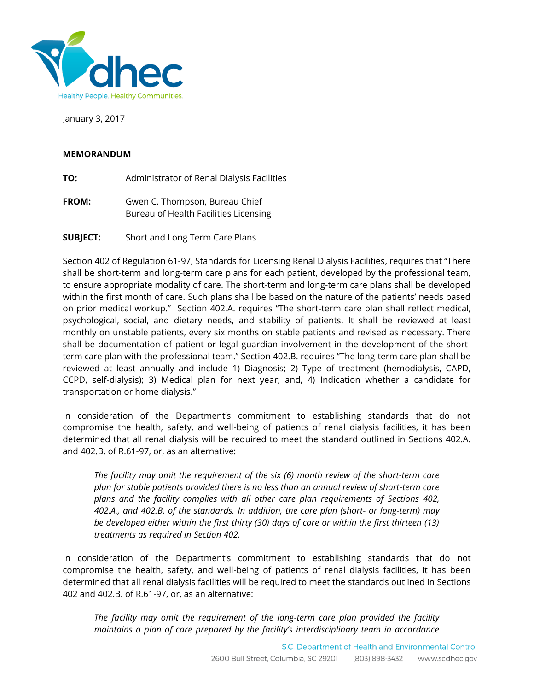

January 3, 2017

## **MEMORANDUM**

- **TO:** Administrator of Renal Dialysis Facilities
- **FROM:** Gwen C. Thompson, Bureau Chief Bureau of Health Facilities Licensing
- **SUBJECT:** Short and Long Term Care Plans

Section 402 of Regulation 61-97, Standards for Licensing Renal Dialysis Facilities, requires that "There shall be short-term and long-term care plans for each patient, developed by the professional team, to ensure appropriate modality of care. The short-term and long-term care plans shall be developed within the first month of care. Such plans shall be based on the nature of the patients' needs based on prior medical workup." Section 402.A. requires "The short-term care plan shall reflect medical, psychological, social, and dietary needs, and stability of patients. It shall be reviewed at least monthly on unstable patients, every six months on stable patients and revised as necessary. There shall be documentation of patient or legal guardian involvement in the development of the shortterm care plan with the professional team." Section 402.B. requires "The long-term care plan shall be reviewed at least annually and include 1) Diagnosis; 2) Type of treatment (hemodialysis, CAPD, CCPD, self-dialysis); 3) Medical plan for next year; and, 4) Indication whether a candidate for transportation or home dialysis."

In consideration of the Department's commitment to establishing standards that do not compromise the health, safety, and well-being of patients of renal dialysis facilities, it has been determined that all renal dialysis will be required to meet the standard outlined in Sections 402.A. and 402.B. of R.61-97, or, as an alternative:

*The facility may omit the requirement of the six (6) month review of the short-term care plan for stable patients provided there is no less than an annual review of short-term care plans and the facility complies with all other care plan requirements of Sections 402, 402.A., and 402.B. of the standards. In addition, the care plan (short- or long-term) may be developed either within the first thirty (30) days of care or within the first thirteen (13) treatments as required in Section 402.*

In consideration of the Department's commitment to establishing standards that do not compromise the health, safety, and well-being of patients of renal dialysis facilities, it has been determined that all renal dialysis facilities will be required to meet the standards outlined in Sections 402 and 402.B. of R.61-97, or, as an alternative:

*The facility may omit the requirement of the long-term care plan provided the facility maintains a plan of care prepared by the facility's interdisciplinary team in accordance*